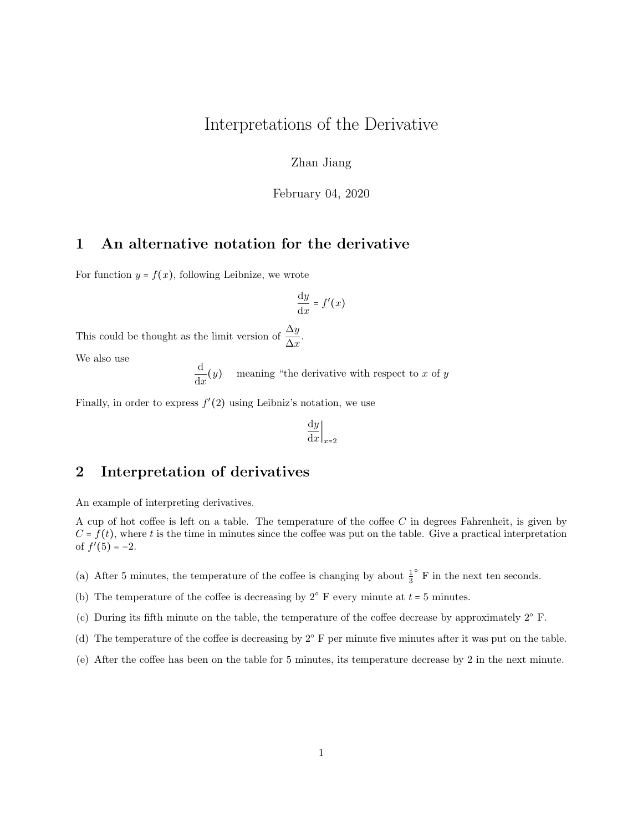## Interpretations of the Derivative

Zhan Jiang

February 04, 2020

## 1 An alternative notation for the derivative

For function  $y = f(x)$ , following Leibnize, we wrote

$$
\frac{\mathrm{d}y}{\mathrm{d}x} = f'(x)
$$

This could be thought as the limit version of  $\frac{\Delta y}{\Delta x}$ .

We also use

d  $\frac{d}{dx}(y)$  meaning "the derivative with respect to x of y

Finally, in order to express  $f'(2)$  using Leibniz's notation, we use

$$
\left. \frac{\mathrm{d}y}{\mathrm{d}x} \right|_{x=2}
$$

## 2 Interpretation of derivatives

An example of interpreting derivatives.

A cup of hot coffee is left on a table. The temperature of the coffee C in degrees Fahrenheit, is given by  $C = f(t)$ , where t is the time in minutes since the coffee was put on the table. Give a practical interpretation of  $f'(5) = -2$ .

- (a) After 5 minutes, the temperature of the coffee is changing by about  $\frac{1}{3}$  $^{\circ}$  F in the next ten seconds.
- (b) The temperature of the coffee is decreasing by  $2^{\circ}$  F every minute at  $t = 5$  minutes.
- (c) During its fifth minute on the table, the temperature of the coffee decrease by approximately 2○ F.
- (d) The temperature of the coffee is decreasing by  $2^{\circ}$  F per minute five minutes after it was put on the table.
- (e) After the coffee has been on the table for 5 minutes, its temperature decrease by 2 in the next minute.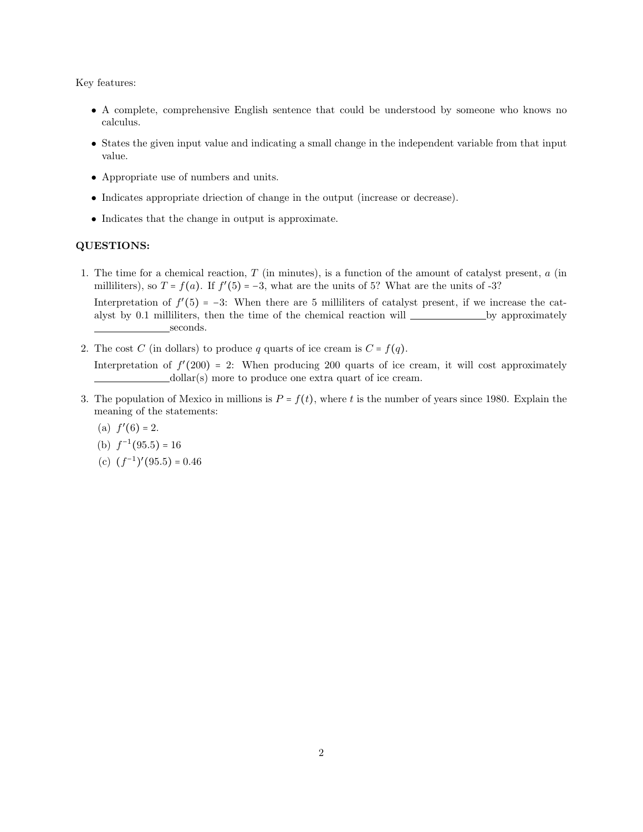Key features:

- A complete, comprehensive English sentence that could be understood by someone who knows no calculus.
- States the given input value and indicating a small change in the independent variable from that input value.
- Appropriate use of numbers and units.

seconds.

- Indicates appropriate driection of change in the output (increase or decrease).
- Indicates that the change in output is approximate.

## QUESTIONS:

- 1. The time for a chemical reaction,  $T$  (in minutes), is a function of the amount of catalyst present,  $a$  (in milliliters), so  $T = f(a)$ . If  $f'(5) = -3$ , what are the units of 5? What are the units of -3? Interpretation of  $f'(5) = -3$ : When there are 5 milliliters of catalyst present, if we increase the catalyst by 0.1 milliliters, then the time of the chemical reaction will <u>see by approximately</u>
- 2. The cost C (in dollars) to produce q quarts of ice cream is  $C = f(q)$ . Interpretation of  $f'(200) = 2$ : When producing 200 quarts of ice cream, it will cost approximately dollar(s) more to produce one extra quart of ice cream.
- 3. The population of Mexico in millions is  $P = f(t)$ , where t is the number of years since 1980. Explain the meaning of the statements:
	- (a)  $f'(6) = 2$ .
	- (b)  $f^{-1}(95.5) = 16$
	- (c)  $(f^{-1})'(95.5) = 0.46$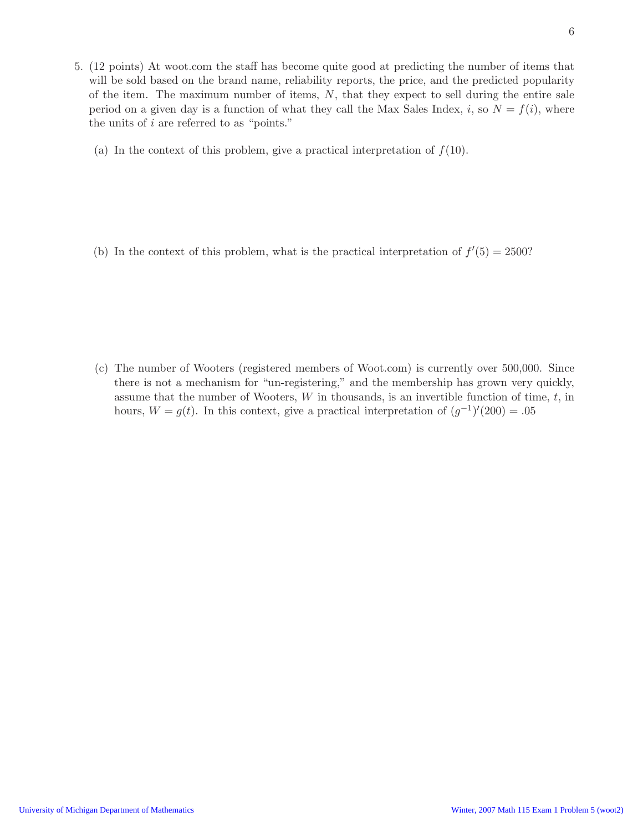- 5. (12 points) At woot.com the staff has become quite good at predicting the number of items that will be sold based on the brand name, reliability reports, the price, and the predicted popularity of the item. The maximum number of items,  $N$ , that they expect to sell during the entire sale period on a given day is a function of what they call the Max Sales Index, i, so  $N = f(i)$ , where the units of  $i$  are referred to as "points."
	- (a) In the context of this problem, give a practical interpretation of  $f(10)$ .

(b) In the context of this problem, what is the practical interpretation of  $f'(5) = 2500$ ?

(c) The number of Wooters (registered members of Woot.com) is currently over 500,000. Since there is not a mechanism for "un-registering," and the membership has grown very quickly, assume that the number of Wooters,  $W$  in thousands, is an invertible function of time,  $t$ , in hours,  $W = g(t)$ . In this context, give a practical interpretation of  $(g^{-1})'(200) = .05$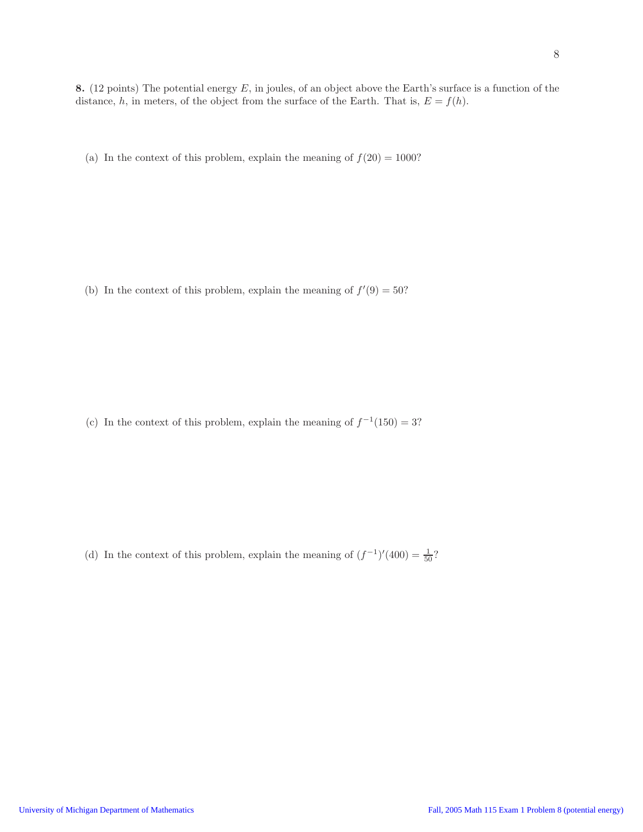8. (12 points) The potential energy  $E$ , in joules, of an object above the Earth's surface is a function of the distance, h, in meters, of the object from the surface of the Earth. That is,  $E = f(h)$ .

(a) In the context of this problem, explain the meaning of  $f(20) = 1000$ ?

(b) In the context of this problem, explain the meaning of  $f'(9) = 50$ ?

(c) In the context of this problem, explain the meaning of  $f^{-1}(150) = 3$ ?

(d) In the context of this problem, explain the meaning of  $(f^{-1})'(400) = \frac{1}{50}$ ?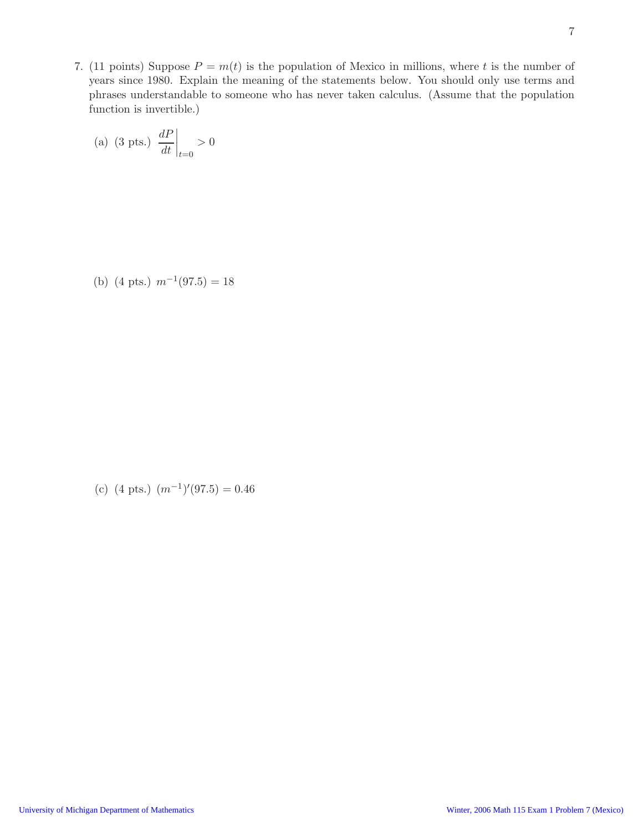7. (11 points) Suppose  $P = m(t)$  is the population of Mexico in millions, where t is the number of years since 1980. Explain the meaning of the statements below. You should only use terms and phrases understandable to someone who has never taken calculus. (Assume that the population function is invertible.)

(a) (3 pts.) 
$$
\left. \frac{dP}{dt} \right|_{t=0} > 0
$$

(b)  $(4 \text{ pts.}) \text{ m}^{-1}(97.5) = 18$ 

(c)  $(4 \text{ pts.})$   $(m^{-1})'(97.5) = 0.46$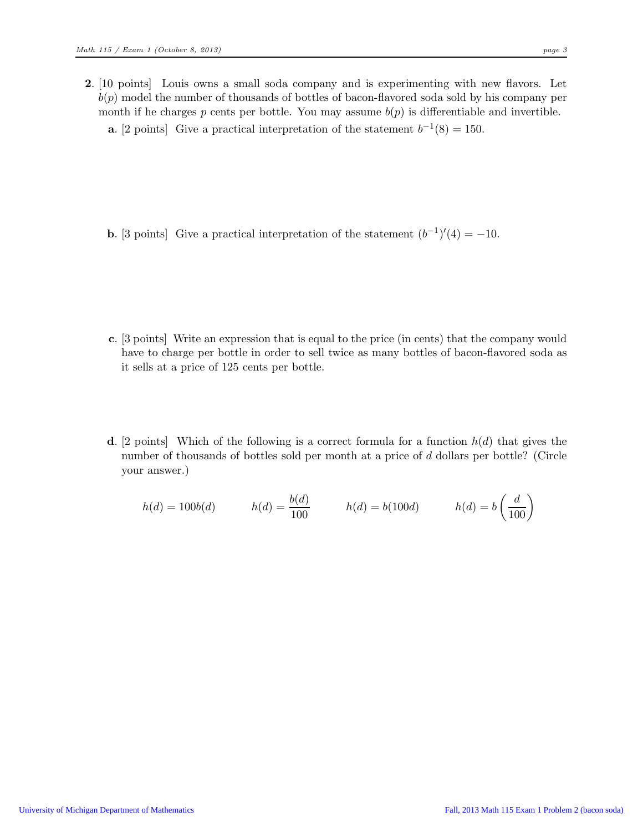- 2. [10 points] Louis owns a small soda company and is experimenting with new flavors. Let  $b(p)$  model the number of thousands of bottles of bacon-flavored soda sold by his company per month if he charges p cents per bottle. You may assume  $b(p)$  is differentiable and invertible.
	- **a.** [2 points] Give a practical interpretation of the statement  $b^{-1}(8) = 150$ .

**b.** [3 points] Give a practical interpretation of the statement  $(b^{-1})'(4) = -10$ .

- c. [3 points] Write an expression that is equal to the price (in cents) that the company would have to charge per bottle in order to sell twice as many bottles of bacon-flavored soda as it sells at a price of 125 cents per bottle.
- d. [2 points] Which of the following is a correct formula for a function  $h(d)$  that gives the number of thousands of bottles sold per month at a price of d dollars per bottle? (Circle your answer.)

$$
h(d) = 100b(d) \qquad h(d) = \frac{b(d)}{100} \qquad h(d) = b(100d) \qquad h(d) = b\left(\frac{d}{100}\right)
$$